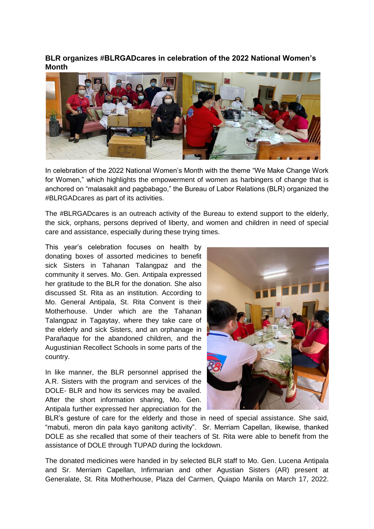## **BLR organizes #BLRGADcares in celebration of the 2022 National Women's Month**



In celebration of the 2022 National Women's Month with the theme "We Make Change Work for Women," which highlights the empowerment of women as harbingers of change that is anchored on "malasakit and pagbabago," the Bureau of Labor Relations (BLR) organized the #BLRGADcares as part of its activities.

The #BLRGADcares is an outreach activity of the Bureau to extend support to the elderly, the sick, orphans, persons deprived of liberty, and women and children in need of special care and assistance, especially during these trying times.

This year's celebration focuses on health by donating boxes of assorted medicines to benefit sick Sisters in Tahanan Talangpaz and the community it serves. Mo. Gen. Antipala expressed her gratitude to the BLR for the donation. She also discussed St. Rita as an institution. According to Mo. General Antipala, St. Rita Convent is their Motherhouse. Under which are the Tahanan Talangpaz in Tagaytay, where they take care of the elderly and sick Sisters, and an orphanage in Parañaque for the abandoned children, and the Augustinian Recollect Schools in some parts of the country.

In like manner, the BLR personnel apprised the A.R. Sisters with the program and services of the DOLE- BLR and how its services may be availed. After the short information sharing, Mo. Gen. Antipala further expressed her appreciation for the



BLR's gesture of care for the elderly and those in need of special assistance. She said, "mabuti, meron din pala kayo ganitong activity". Sr. Merriam Capellan, likewise, thanked DOLE as she recalled that some of their teachers of St. Rita were able to benefit from the assistance of DOLE through TUPAD during the lockdown.

The donated medicines were handed in by selected BLR staff to Mo. Gen. Lucena Antipala and Sr. Merriam Capellan, Infirmarian and other Agustian Sisters (AR) present at Generalate, St. Rita Motherhouse, Plaza del Carmen, Quiapo Manila on March 17, 2022.